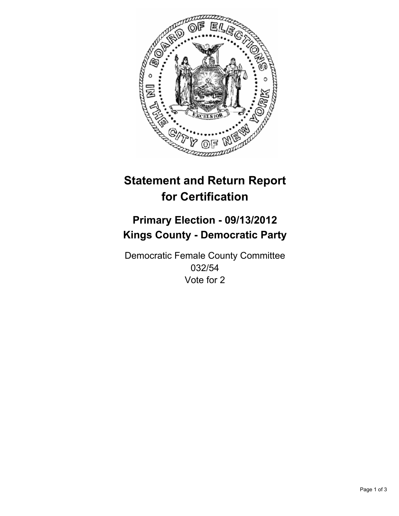

# **Statement and Return Report for Certification**

## **Primary Election - 09/13/2012 Kings County - Democratic Party**

Democratic Female County Committee 032/54 Vote for 2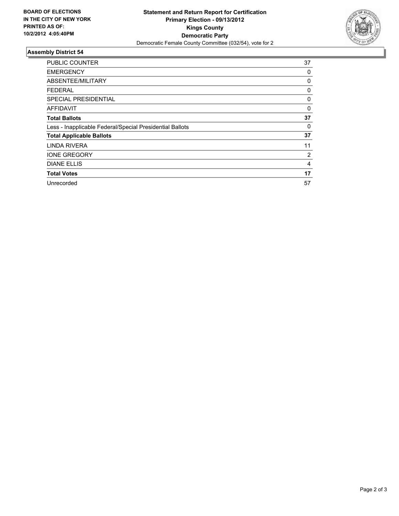

### **Assembly District 54**

| PUBLIC COUNTER                                           | 37 |
|----------------------------------------------------------|----|
| <b>EMERGENCY</b>                                         | 0  |
| ABSENTEE/MILITARY                                        | 0  |
| <b>FEDERAL</b>                                           | 0  |
| SPECIAL PRESIDENTIAL                                     | 0  |
| AFFIDAVIT                                                | 0  |
| <b>Total Ballots</b>                                     | 37 |
| Less - Inapplicable Federal/Special Presidential Ballots | 0  |
| <b>Total Applicable Ballots</b>                          | 37 |
| LINDA RIVERA                                             | 11 |
| <b>IONE GREGORY</b>                                      | 2  |
| <b>DIANE ELLIS</b>                                       | 4  |
| <b>Total Votes</b>                                       | 17 |
| Unrecorded                                               | 57 |